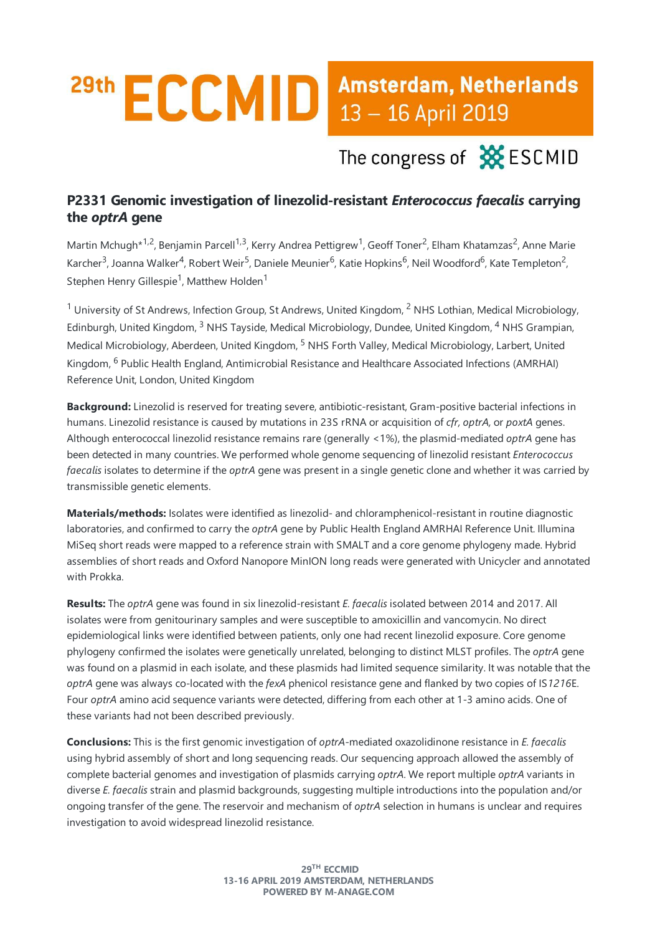## 29th ECCMID Amsterdam, Netherlands

The congress of **XX** ESCMID

## **P2331 Genomic investigation of linezolid-resistant** *Enterococcus faecalis* **carrying the** *optrA* **gene**

Martin Mchugh\*<sup>1,2</sup>, Benjamin Parcell<sup>1,3</sup>, Kerry Andrea Pettigrew<sup>1</sup>, Geoff Toner<sup>2</sup>, Elham Khatamzas<sup>2</sup>, Anne Marie Karcher<sup>3</sup>, Joanna Walker<sup>4</sup>, Robert Weir<sup>5</sup>, Daniele Meunier<sup>6</sup>, Katie Hopkins<sup>6</sup>, Neil Woodford<sup>6</sup>, Kate Templeton<sup>2</sup>, Stephen Henry Gillespie<sup>1</sup>, Matthew Holden<sup>1</sup>

 $1$  University of St Andrews, Infection Group, St Andrews, United Kingdom,  $2$  NHS Lothian, Medical Microbiology, Edinburgh, United Kingdom, <sup>3</sup> NHS Tayside, Medical Microbiology, Dundee, United Kingdom, <sup>4</sup> NHS Grampian, Medical Microbiology, Aberdeen, United Kingdom, <sup>5</sup> NHS Forth Valley, Medical Microbiology, Larbert, United Kingdom, <sup>6</sup> Public Health England, Antimicrobial Resistance and Healthcare Associated Infections (AMRHAI) Reference Unit, London, United Kingdom

Background: Linezolid is reserved for treating severe, antibiotic-resistant, Gram-positive bacterial infections in humans. Linezolid resistance is caused by mutations in 23S rRNA or acquisition of *cfr, optrA*, or *poxtA* genes. Although enterococcal linezolid resistance remains rare (generally <1%), the plasmid-mediated *optrA* gene has been detected in many countries.We performed whole genomesequencing of linezolid resistant*Enterococcus faecalis* isolates to determine if the *optrA* gene was present in a single genetic clone and whether it was carried by transmissible genetic elements.

**Materials/methods:** Isolates wereidentified as linezolid-and chloramphenicol-resistant in routine diagnostic laboratories,and confirmed to carry the*optrA* gene by Public Health England AMRHAI Reference Unit. Illumina MiSeg short reads were mapped to a reference strain with SMALT and a core genome phylogeny made. Hybrid assemblies of short reads and Oxford Nanopore MinION long reads were generated with Unicycler and annotated with Prokka.

**Results:**The*optrA* gene was found in six linezolid-resistant*E. faecalis* isolated between 2014 and 2017. All isolates were from genitourinary samples and were susceptible to amoxicillin and vancomycin. No direct epidemiological links wereidentified between patients, only one had recent linezolid exposure. Core genome phylogeny confirmed theisolates were genetically unrelated, belonging to distinct MLST profiles.The*optrA* gene was found on a plasmid in each isolate, and these plasmids had limited sequence similarity. It was notable that the *optrA* gene was always co-located with the*fexA* phenicol resistance geneand flanked by two copies of IS*1216*E. Four *optrA* amino acid sequence variants were detected, differing from each other at 1-3 amino acids. One of these variants had not been described previously.

**Conclusions:**This is thefirst genomic investigation of*optrA*-mediated oxazolidinoneresistancein *E. faecalis* using hybrid assembly of short and long sequencing reads. Our sequencing approach allowed the assembly of complete bacterial genomes and investigation of plasmids carrying *optrA*.Wereport multiple*optrA* variants in diverse*E. faecalis* strain and plasmid backgrounds, suggesting multipleintroductions into the population and/or ongoing transfer of the gene. The reservoir and mechanism of *optrA* selection in humans is unclear and requires investigation to avoid widespread linezolid resistance.